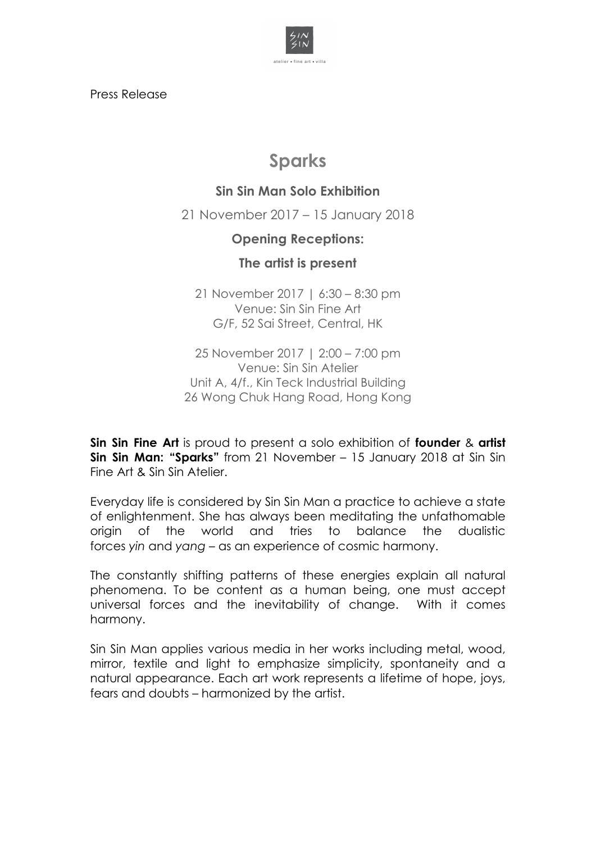

Press Release

# **Sparks**

## **Sin Sin Man Solo Exhibition**

21 November 2017 – 15 January 2018

### **Opening Receptions:**

### **The artist is present**

21 November 2017 | 6:30 – 8:30 pm Venue: Sin Sin Fine Art G/F, 52 Sai Street, Central, HK

25 November 2017 | 2:00 – 7:00 pm Venue: Sin Sin Atelier Unit A, 4/f., Kin Teck Industrial Building 26 Wong Chuk Hang Road, Hong Kong

**Sin Sin Fine Art** is proud to present a solo exhibition of **founder** & **artist Sin Sin Man: "Sparks"** from 21 November – 15 January 2018 at Sin Sin Fine Art & Sin Sin Atelier.

Everyday life is considered by Sin Sin Man a practice to achieve a state of enlightenment. She has always been meditating the unfathomable origin of the world and tries to balance the dualistic forces *yin* and *yang* – as an experience of cosmic harmony.

The constantly shifting patterns of these energies explain all natural phenomena. To be content as a human being, one must accept universal forces and the inevitability of change. With it comes harmony.

Sin Sin Man applies various media in her works including metal, wood, mirror, textile and light to emphasize simplicity, spontaneity and a natural appearance. Each art work represents a lifetime of hope, joys, fears and doubts – harmonized by the artist.